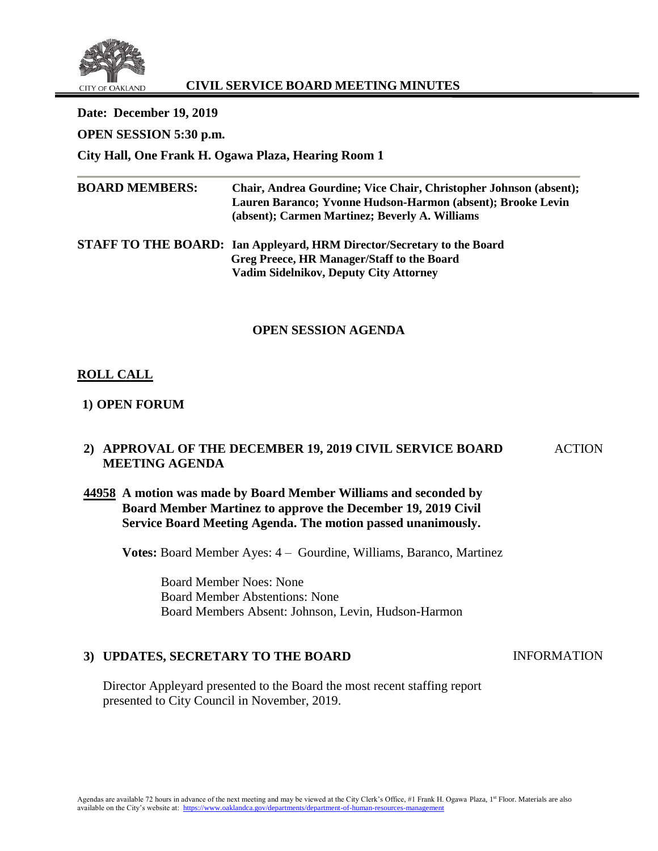

## **CIVIL SERVICE BOARD MEETING MINUTES**

**Date: December 19, 2019 OPEN SESSION 5:30 p.m. City Hall, One Frank H. Ogawa Plaza, Hearing Room 1 BOARD MEMBERS: Chair, Andrea Gourdine; Vice Chair, Christopher Johnson (absent); Lauren Baranco; Yvonne Hudson-Harmon (absent); Brooke Levin (absent); Carmen Martinez; Beverly A. Williams**

**STAFF TO THE BOARD: Ian Appleyard, HRM Director/Secretary to the Board Greg Preece, HR Manager/Staff to the Board Vadim Sidelnikov, Deputy City Attorney**

#### **OPEN SESSION AGENDA**

## **ROLL CALL**

#### **1) OPEN FORUM**

## **2) APPROVAL OF THE DECEMBER 19, 2019 CIVIL SERVICE BOARD MEETING AGENDA**

### **44958 A motion was made by Board Member Williams and seconded by Board Member Martinez to approve the December 19, 2019 Civil Service Board Meeting Agenda. The motion passed unanimously.**

**Votes:** Board Member Ayes: 4 – Gourdine, Williams, Baranco, Martinez

Board Member Noes: None Board Member Abstentions: None Board Members Absent: Johnson, Levin, Hudson-Harmon

## **3) UPDATES, SECRETARY TO THE BOARD**

INFORMATION

ACTION

Director Appleyard presented to the Board the most recent staffing report presented to City Council in November, 2019.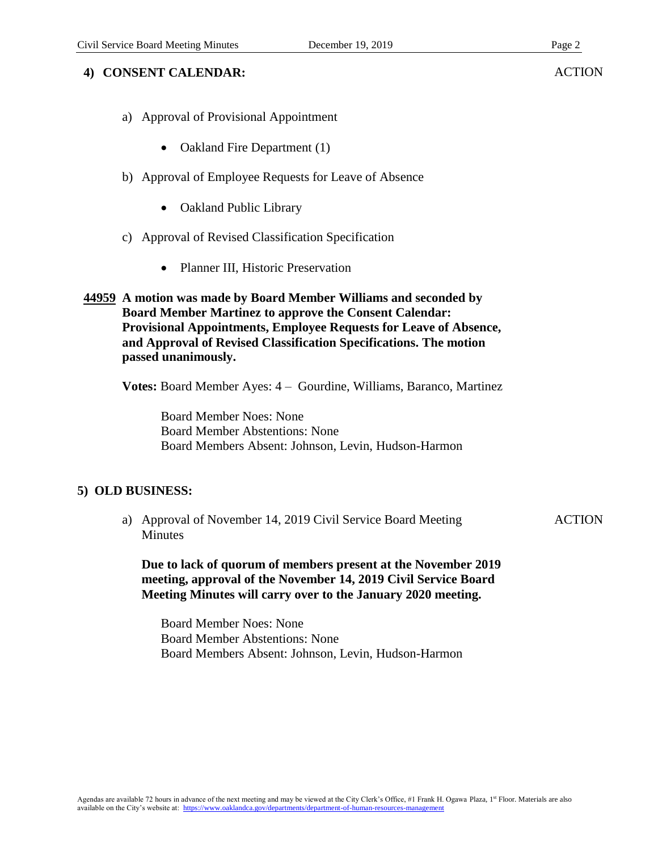### **4) CONSENT CALENDAR:**

- a) Approval of Provisional Appointment
	- Oakland Fire Department (1)
- b) Approval of Employee Requests for Leave of Absence
	- Oakland Public Library
- c) Approval of Revised Classification Specification
	- Planner III, Historic Preservation

#### **44959 A motion was made by Board Member Williams and seconded by Board Member Martinez to approve the Consent Calendar: Provisional Appointments, Employee Requests for Leave of Absence, and Approval of Revised Classification Specifications. The motion passed unanimously.**

**Votes:** Board Member Ayes: 4 – Gourdine, Williams, Baranco, Martinez

Board Member Noes: None Board Member Abstentions: None Board Members Absent: Johnson, Levin, Hudson-Harmon

#### **5) OLD BUSINESS:**

a) Approval of November 14, 2019 Civil Service Board Meeting **Minutes** 

**ACTION** 

**Due to lack of quorum of members present at the November 2019 meeting, approval of the November 14, 2019 Civil Service Board Meeting Minutes will carry over to the January 2020 meeting.**

Board Member Noes: None Board Member Abstentions: None Board Members Absent: Johnson, Levin, Hudson-Harmon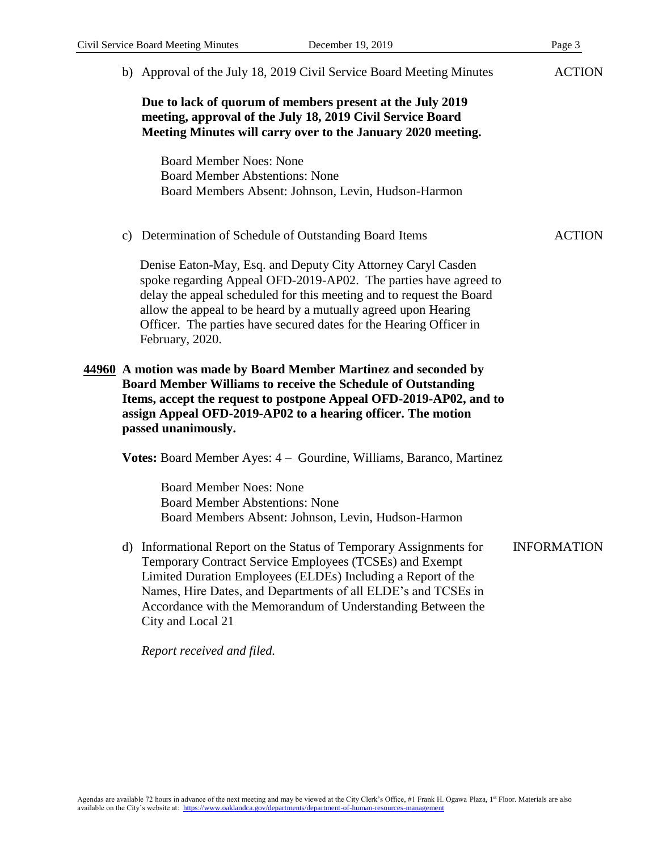| Civil Service Board Meeting Minutes |                                                                                                                                                                                                                                                                                                      | December 19, 2019                                                                                                                                                                                                                                                                                                                                | Page 3             |  |
|-------------------------------------|------------------------------------------------------------------------------------------------------------------------------------------------------------------------------------------------------------------------------------------------------------------------------------------------------|--------------------------------------------------------------------------------------------------------------------------------------------------------------------------------------------------------------------------------------------------------------------------------------------------------------------------------------------------|--------------------|--|
|                                     |                                                                                                                                                                                                                                                                                                      | b) Approval of the July 18, 2019 Civil Service Board Meeting Minutes                                                                                                                                                                                                                                                                             | <b>ACTION</b>      |  |
|                                     | Due to lack of quorum of members present at the July 2019<br>meeting, approval of the July 18, 2019 Civil Service Board<br>Meeting Minutes will carry over to the January 2020 meeting.                                                                                                              |                                                                                                                                                                                                                                                                                                                                                  |                    |  |
|                                     | <b>Board Member Noes: None</b><br><b>Board Member Abstentions: None</b>                                                                                                                                                                                                                              | Board Members Absent: Johnson, Levin, Hudson-Harmon                                                                                                                                                                                                                                                                                              |                    |  |
|                                     | c) Determination of Schedule of Outstanding Board Items                                                                                                                                                                                                                                              |                                                                                                                                                                                                                                                                                                                                                  | <b>ACTION</b>      |  |
|                                     | February, 2020.                                                                                                                                                                                                                                                                                      | Denise Eaton-May, Esq. and Deputy City Attorney Caryl Casden<br>spoke regarding Appeal OFD-2019-AP02. The parties have agreed to<br>delay the appeal scheduled for this meeting and to request the Board<br>allow the appeal to be heard by a mutually agreed upon Hearing<br>Officer. The parties have secured dates for the Hearing Officer in |                    |  |
|                                     | 44960 A motion was made by Board Member Martinez and seconded by<br><b>Board Member Williams to receive the Schedule of Outstanding</b><br>Items, accept the request to postpone Appeal OFD-2019-AP02, and to<br>assign Appeal OFD-2019-AP02 to a hearing officer. The motion<br>passed unanimously. |                                                                                                                                                                                                                                                                                                                                                  |                    |  |
|                                     |                                                                                                                                                                                                                                                                                                      | Votes: Board Member Ayes: 4 – Gourdine, Williams, Baranco, Martinez                                                                                                                                                                                                                                                                              |                    |  |
|                                     | <b>Board Member Noes: None</b><br><b>Board Member Abstentions: None</b>                                                                                                                                                                                                                              | Board Members Absent: Johnson, Levin, Hudson-Harmon                                                                                                                                                                                                                                                                                              |                    |  |
|                                     | City and Local 21                                                                                                                                                                                                                                                                                    | d) Informational Report on the Status of Temporary Assignments for<br>Temporary Contract Service Employees (TCSEs) and Exempt<br>Limited Duration Employees (ELDEs) Including a Report of the<br>Names, Hire Dates, and Departments of all ELDE's and TCSEs in<br>Accordance with the Memorandum of Understanding Between the                    | <b>INFORMATION</b> |  |

*Report received and filed.*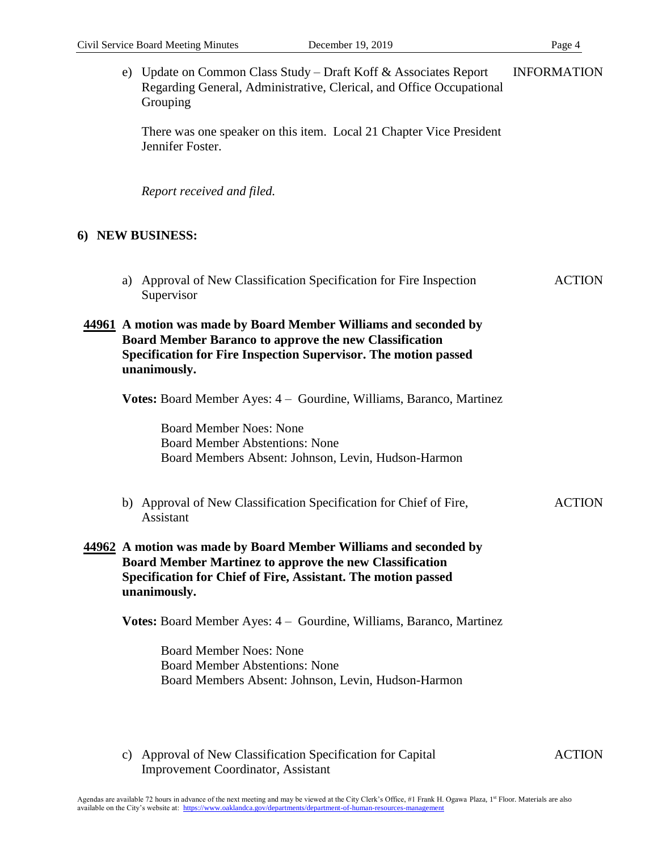|                                                                                                                                                                                                                      |  | e) Update on Common Class Study – Draft Koff & Associates Report<br>Regarding General, Administrative, Clerical, and Office Occupational<br>Grouping                                                                | <b>INFORMATION</b> |  |
|----------------------------------------------------------------------------------------------------------------------------------------------------------------------------------------------------------------------|--|---------------------------------------------------------------------------------------------------------------------------------------------------------------------------------------------------------------------|--------------------|--|
|                                                                                                                                                                                                                      |  | There was one speaker on this item. Local 21 Chapter Vice President<br>Jennifer Foster.                                                                                                                             |                    |  |
|                                                                                                                                                                                                                      |  | Report received and filed.                                                                                                                                                                                          |                    |  |
|                                                                                                                                                                                                                      |  | 6) NEW BUSINESS:                                                                                                                                                                                                    |                    |  |
|                                                                                                                                                                                                                      |  | a) Approval of New Classification Specification for Fire Inspection<br>Supervisor                                                                                                                                   | <b>ACTION</b>      |  |
| 44961 A motion was made by Board Member Williams and seconded by<br><b>Board Member Baranco to approve the new Classification</b><br>Specification for Fire Inspection Supervisor. The motion passed<br>unanimously. |  |                                                                                                                                                                                                                     |                    |  |
|                                                                                                                                                                                                                      |  | Votes: Board Member Ayes: 4 – Gourdine, Williams, Baranco, Martinez                                                                                                                                                 |                    |  |
|                                                                                                                                                                                                                      |  | <b>Board Member Noes: None</b><br><b>Board Member Abstentions: None</b><br>Board Members Absent: Johnson, Levin, Hudson-Harmon                                                                                      |                    |  |
|                                                                                                                                                                                                                      |  | b) Approval of New Classification Specification for Chief of Fire,<br><b>Assistant</b>                                                                                                                              | <b>ACTION</b>      |  |
|                                                                                                                                                                                                                      |  | 44962 A motion was made by Board Member Williams and seconded by<br><b>Board Member Martinez to approve the new Classification</b><br>Specification for Chief of Fire, Assistant. The motion passed<br>unanimously. |                    |  |
|                                                                                                                                                                                                                      |  | Votes: Board Member Ayes: 4 – Gourdine, Williams, Baranco, Martinez                                                                                                                                                 |                    |  |
|                                                                                                                                                                                                                      |  | <b>Board Member Noes: None</b><br><b>Board Member Abstentions: None</b><br>Board Members Absent: Johnson, Levin, Hudson-Harmon                                                                                      |                    |  |
|                                                                                                                                                                                                                      |  |                                                                                                                                                                                                                     |                    |  |

c) Approval of New Classification Specification for Capital Improvement Coordinator, Assistant

ACTION